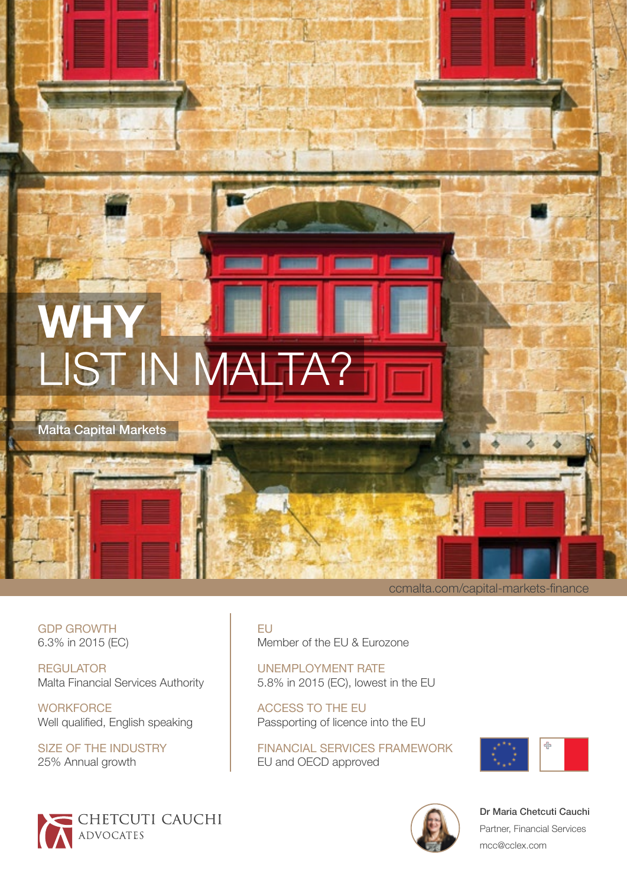# **WHY**  LIST IN MALTA?

Malta Capital Markets

GDP GROWTH 6.3% in 2015 (EC)

**REGULATOR** Malta Financial Services Authority

**WORKFORCE** Well qualified, English speaking

SIZE OF THE INDUSTRY 25% Annual growth



EU Member of the EU & Eurozone

UNEMPLOYMENT RATE 5.8% in 2015 (EC), lowest in the EU

ACCESS TO THE EU Passporting of licence into the EU

FINANCIAL SERVICES FRAMEWORK EU and OECD approved



[ccmalta.com/capital-markets-finance](http://ccmalta.com/capital-markets-finance)



[Dr Maria Chetcuti Cauchi](http://chetcuticauchi.com/maria-chetcuti-cauchi) Partner, Financial Services [mcc@cclex.com](mailto:mcc%40cclex.com?subject=)